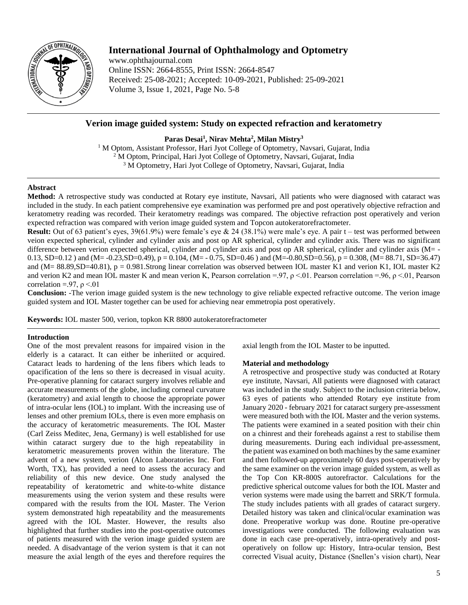

# **International Journal of Ophthalmology and Optometry**

www.ophthajournal.com Online ISSN: 2664-8555, Print ISSN: 2664-8547 Received: 25-08-2021; Accepted: 10-09-2021, Published: 25-09-2021 Volume 3, Issue 1, 2021, Page No. 5-8

## **Verion image guided system: Study on expected refraction and keratometry**

**Paras Desai<sup>1</sup> , Nirav Mehta<sup>2</sup> , Milan Mistry<sup>3</sup>**

<sup>1</sup> M Optom, Assistant Professor, Hari Jyot College of Optometry, Navsari, Gujarat, India <sup>2</sup> M Optom, Principal, Hari Jyot College of Optometry, Navsari, Gujarat, India <sup>3</sup> M Optometry, Hari Jyot College of Optometry, Navsari, Gujarat, India

## **Abstract**

**Method:** A retrospective study was conducted at Rotary eye institute, Navsari, All patients who were diagnosed with cataract was included in the study. In each patient comprehensive eye examination was performed pre and post operatively objective refraction and keratometry reading was recorded. Their keratometry readings was compared. The objective refraction post operatively and verion expected refraction was compared with verion image guided system and Topcon autokeratorefractometer.

**Result:** Out of 63 patient's eyes, 39(61.9%) were female's eye & 24 (38.1%) were male's eye. A pair t – test was performed between veion expected spherical, cylinder and cylinder axis and post op AR spherical, cylinder and cylinder axis. There was no significant difference between verion expected spherical, cylinder and cylinder axis and post op AR spherical, cylinder and cylinder axis (M= -0.13, SD=0.12 ) and (M= -0.23,SD=0.49), p = 0.104, (M= - 0.75, SD=0.46 ) and (M=-0.80,SD=0.56), p = 0.308, (M= 88.71, SD=36.47) and ( $M = 88.89$ ,  $SD = 40.81$ ),  $p = 0.981$ . Strong linear correlation was observed between IOL master K1 and verion K1, IOL master K2 and verion K2 and mean IOL master K and mean verion K, Pearson correlation =.97,  $\rho \le 01$ . Pearson correlation =.96,  $\rho \le 01$ , Pearson correlation =.97,  $\rho$  <.01

**Conclusion:** -The verion image guided system is the new technology to give reliable expected refractive outcome. The verion image guided system and IOL Master together can be used for achieving near emmetropia post operatively.

**Keywords:** IOL master 500, verion, topkon KR 8800 autokeratorefractometer

## **Introduction**

One of the most prevalent reasons for impaired vision in the elderly is a cataract. It can either be inheriited or acquired. Cataract leads to hardening of the lens fibers which leads to opacification of the lens so there is decreased in visual acuity. Pre-operative planning for cataract surgery involves reliable and accurate measurements of the globe, including corneal curvature (keratometry) and axial length to choose the appropriate power of intra-ocular lens (IOL) to implant. With the increasing use of lenses and other premium IOLs, there is even more emphasis on the accuracy of keratometric measurements. The IOL Master (Carl Zeiss Meditec, Jena, Germany) is well established for use within cataract surgery due to the high repeatability in keratometric measurements proven within the literature. The advent of a new system, verion (Alcon Laboratories Inc. Fort Worth, TX), has provided a need to assess the accuracy and reliability of this new device. One study analysed the repeatability of keratometric and white-to-white distance measurements using the verion system and these results were compared with the results from the IOL Master. The Verion system demonstrated high repeatability and the measurements agreed with the IOL Master. However, the results also highlighted that further studies into the post-operative outcomes of patients measured with the verion image guided system are needed. A disadvantage of the verion system is that it can not measure the axial length of the eyes and therefore requires the

axial length from the IOL Master to be inputted.

## **Material and methodology**

A retrospective and prospective study was conducted at Rotary eye institute, Navsari, All patients were diagnosed with cataract was included in the study. Subject to the inclusion criteria below, 63 eyes of patients who attended Rotary eye institute from January 2020 - february 2021 for cataract surgery pre-assessment were measured both with the IOL Master and the verion systems. The patients were examined in a seated position with their chin on a chinrest and their foreheads against a rest to stabilise them during measurements. During each individual pre-assessment, the patient was examined on both machines by the same examiner and then followed-up approximately 60 days post-operatively by the same examiner on the verion image guided system, as well as the Top Con KR-800S autorefractor. Calculations for the predictive spherical outcome values for both the IOL Master and verion systems were made using the barrett and SRK/T formula. The study includes patients with all grades of cataract surgery. Detailed history was taken and clinical/ocular examination was done. Preoperative workup was done. Routine pre-operative investigations were conducted. The following evaluation was done in each case pre-operatively, intra-operatively and postoperatively on follow up: History, Intra-ocular tension, Best corrected Visual acuity, Distance (Snellen's vision chart), Near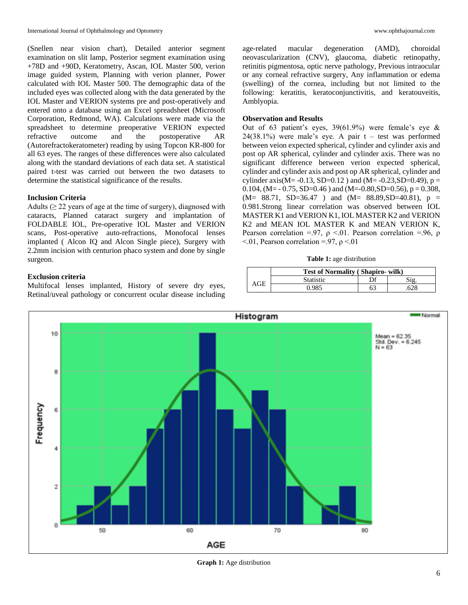(Snellen near vision chart), Detailed anterior segment examination on slit lamp, Posterior segment examination using +78D and +90D, Keratometry, Ascan, IOL Master 500, verion image guided system, Planning with verion planner, Power calculated with IOL Master 500. The demographic data of the included eyes was collected along with the data generated by the IOL Master and VERION systems pre and post-operatively and entered onto a database using an Excel spreadsheet (Microsoft Corporation, Redmond, WA). Calculations were made via the spreadsheet to determine preoperative VERION expected refractive outcome and the postoperative AR (Autorefractokeratometer) reading by using Topcon KR-800 for all 63 eyes. The ranges of these differences were also calculated along with the standard deviations of each data set. A statistical paired t-test was carried out between the two datasets to determine the statistical significance of the results.

## **Inclusion Criteria**

Adults ( $\geq$  22 years of age at the time of surgery), diagnosed with cataracts, Planned cataract surgery and implantation of FOLDABLE IOL, Pre-operative IOL Master and VERION scans, Post-operative auto-refractions, Monofocal lenses implanted ( Alcon IQ and Alcon Single piece), Surgery with 2.2mm incision with centurion phaco system and done by single surgeon.

## **Exclusion criteria**

Multifocal lenses implanted, History of severe dry eyes, Retinal/uveal pathology or concurrent ocular disease including age-related macular degeneration (AMD), choroidal neovascularization (CNV), glaucoma, diabetic retinopathy, retinitis pigmentosa, optic nerve pathology, Previous intraocular or any corneal refractive surgery, Any inflammation or edema (swelling) of the cornea, including but not limited to the following: keratitis, keratoconjunctivitis, and keratouveitis, Amblyopia.

## **Observation and Results**

Out of 63 patient's eyes, 39(61.9%) were female's eye & 24(38.1%) were male's eye. A pair t – test was performed between veion expected spherical, cylinder and cylinder axis and post op AR spherical, cylinder and cylinder axis. There was no significant difference between verion expected spherical, cylinder and cylinder axis and post op AR spherical, cylinder and cylinder axis(M= -0.13, SD=0.12) and (M= -0.23, SD=0.49),  $p =$ 0.104, (M =  $-$  0.75, SD=0.46) and (M =  $-$ 0.80, SD=0.56), p = 0.308,  $(M= 88.71, SD=36.47)$  and  $(M= 88.89, SD=40.81)$ ,  $p =$ 0.981.Strong linear correlation was observed between IOL MASTER K1 and VERION K1, IOL MASTER K2 and VERION K2 and MEAN IOL MASTER K and MEAN VERION K, Pearson correlation =.97,  $\rho \le 01$ . Pearson correlation =.96,  $\rho$  $< 0.01$ , Pearson correlation =.97,  $\rho < 0.01$ 

**Table 1:** age distribution

|     | <b>Test of Normality (Shapiro- wilk)</b> |    |     |  |  |
|-----|------------------------------------------|----|-----|--|--|
| AGE | <b>Statistic</b>                         | Df |     |  |  |
|     | 0.985                                    | 63 | 628 |  |  |



**Graph 1:** Age distribution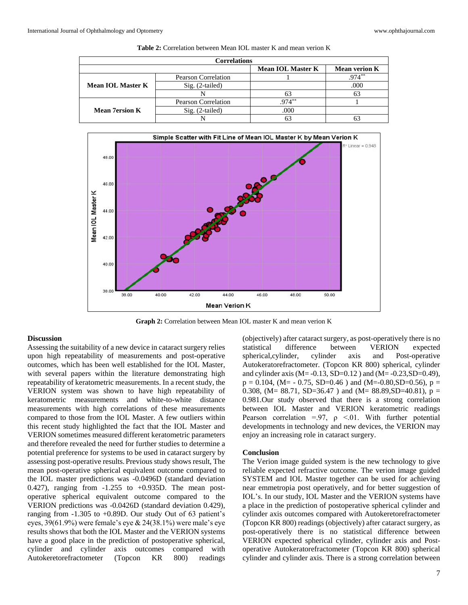| <b>Correlations</b>      |                            |                          |                      |  |  |
|--------------------------|----------------------------|--------------------------|----------------------|--|--|
|                          |                            | <b>Mean IOL Master K</b> | <b>Mean verion K</b> |  |  |
|                          | <b>Pearson Correlation</b> |                          | $974***$             |  |  |
| Mean <b>IOL</b> Master K | $Sig. (2-tailed)$          |                          | .000                 |  |  |
|                          |                            |                          |                      |  |  |
|                          | <b>Pearson Correlation</b> | $.974***$                |                      |  |  |
| <b>Mean 7ersion K</b>    | $Sig. (2-tailed)$          | .000                     |                      |  |  |
|                          |                            |                          |                      |  |  |

**Table 2:** Correlation between Mean IOL master K and mean verion K



**Graph 2:** Correlation between Mean IOL master K and mean verion K

#### **Discussion**

Assessing the suitability of a new device in cataract surgery relies upon high repeatability of measurements and post-operative outcomes, which has been well established for the IOL Master, with several papers within the literature demonstrating high repeatability of keratometric measurements. In a recent study, the VERION system was shown to have high repeatability of keratometric measurements and white-to-white distance measurements with high correlations of these measurements compared to those from the IOL Master. A few outliers within this recent study highlighted the fact that the IOL Master and VERION sometimes measured different keratometric parameters and therefore revealed the need for further studies to determine a potential preference for systems to be used in cataract surgery by assessing post-operative results.Previous study shows result, The mean post-operative spherical equivalent outcome compared to the IOL master predictions was -0.0496D (standard deviation 0.427), ranging from -1.255 to +0.935D. The mean postoperative spherical equivalent outcome compared to the VERION predictions was -0.0426D (standard deviation 0.429), ranging from -1.305 to +0.89D. Our study Out of 63 patient's eyes, 39(61.9%) were female's eye & 24(38.1%) were male's eye results shows that both the IOL Master and the VERION systems have a good place in the prediction of postoperative spherical, cylinder and cylinder axis outcomes compared with Autokeretorefractometer (Topcon KR 800) readings

(objectively) after cataract surgery, as post-operatively there is no statistical difference between VERION expected spherical,cylinder, cylinder axis and Post-operative Autokeratorefractometer. (Topcon KR 800) spherical, cylinder and cylinder axis (M=  $-0.13$ , SD= $0.12$ ) and (M=  $-0.23$ , SD= $0.49$ ),  $p = 0.104$ , (M= - 0.75, SD=0.46) and (M=-0.80,SD=0.56),  $p =$ 0.308, (M= 88.71, SD=36.47) and (M= 88.89, SD=40.81),  $p =$ 0.981.Our study observed that there is a strong correlation between IOL Master and VERION keratometric readings Pearson correlation =.97,  $\rho \le 01$ . With further potential developments in technology and new devices, the VERION may enjoy an increasing role in cataract surgery.

#### **Conclusion**

The Verion image guided system is the new technology to give reliable expected refractive outcome. The verion image guided SYSTEM and IOL Master together can be used for achieving near emmetropia post operatively, and for better suggestion of IOL's. In our study, IOL Master and the VERION systems have a place in the prediction of postoperative spherical cylinder and cylinder axis outcomes compared with Autokeretorefractometer (Topcon KR 800) readings (objectively) after cataract surgery, as post-operatively there is no statistical difference between VERION expected spherical cylinder, cylinder axis and Postoperative Autokeratorefractometer (Topcon KR 800) spherical cylinder and cylinder axis. There is a strong correlation between